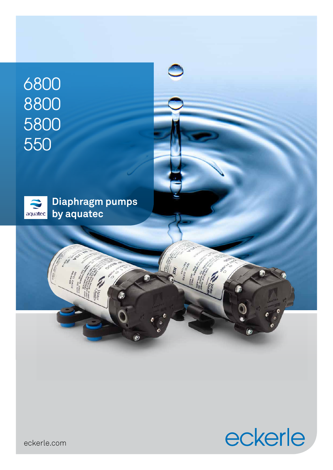# 6800 8800 5800 550



Ξ

**Ash** 

 $\bullet$ 



ß

 $\circ$ 

eckerle.com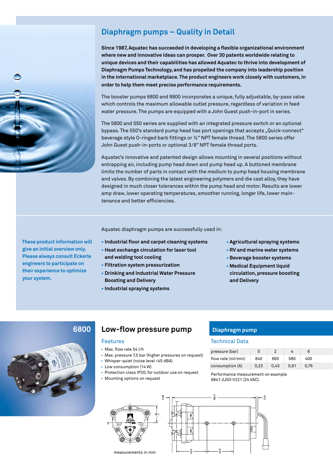### **Diaphragm pumps – Quality in Detail**

**Since 1987, Aquatec has succeeded in developing a flexible organizational environment where new and innovative ideas can prosper. Over 30 patents worldwide relating to unique devices and their capabilities has allowed Aquatec to thrive into development of Diaphragm Pumps Technology, and has propelled the company into leadership position in the international marketplace. The product engineers work closely with customers, in order to help them meet precise performance requirements.** 

The booster pumps 6800 and 8800 incorporates a unique, fully adjustable, by-pass valve which controls the maximum allowable outlet pressure, regardless of variation in feed water pressure. The pumps are equipped with a John Guest push-in-port in series.

The 5800 and 550 series are supplied with an integrated pressure switch or an optional bypass. The 550's standard pump head has port openings that accepts "Quick-connect" beverage style O-ringed barb fittings or ½" NPT female thread. The 5800 series offer John Guest push-in-ports or optional 3/8" NPT female thread ports.

Aquatec's innovative and patented design allows mounting in several positions without entrapping air, including pump head down and pump head up. A buttoned membrane limits the number of parts in contact with the medium to pump head housing membrane and valves. By combining the latest engineering polymers and die cast alloy, they have designed in much closer tolerances within the pump head and motor. Results are lower amp draw, lower operating temperatures, smoother running, longer life, lower maintenance and better efficiencies.

Aquatec diaphragm pumps are successfully used in:

- **Industrial floor and carpet cleaning systems**
- **• Heat exchange circulation for laser tool**
- **and welding tool cooling**
- **Filtration system pressurization**
- **• Drinking and Industrial Water Pressure Boosting and Delivery**
- **Industrial spraying systems**

#### **• Agricultural spraying systems**

- **RV and marine water systems**
- **Beverage booster systems**
- **• Medical Equipment liquid circulation, pressure boosting and Delivery**

### **6800**

### Features

- Max. flow rate 54 l/h
- Max. pressure 7,5 bar (higher pressures on request)

**Low-flow pressure pump**

- Whisper-quiet (noise level <45 dBA)
- Low consumption (14 W)
- Protection class IP20, for outdoor use on request
- Mounting options on request

### **Diaphragm pump**

#### Technical Data

| pressure (bar)     | 0    |      |      | 6    |
|--------------------|------|------|------|------|
| flow rate (ml/min) | 840  | 660  | 580  | 400  |
| consumption (A)    | 0.23 | 0.43 | 0.61 | 0.76 |

Performance measurement on example 6841-2J03-V221 (24 VAC).





**These product information will give an initial overview only. Please always consult Eckerle engineers to participate on their experience to optimize your system.** 

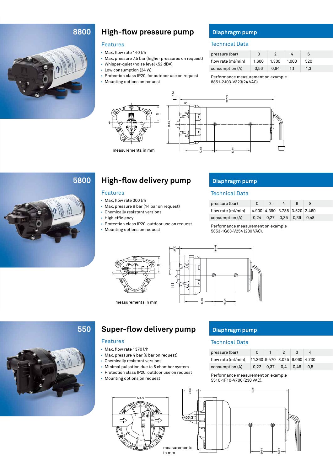### **8800**



### **High-flow pressure pump**

### Features

- Max. flow rate 140 l/h
- Max. pressure 7,5 bar (higher pressures on request)
- Whisper-quiet (noise level <52 dBA)
- Low consumption (24 W)
- Protection class IP20, for outdoor use on request • Mounting options on request



**Diaphragm pump**

#### Technical Data

| pressure (bar)     | O     |       |       | 6       |
|--------------------|-------|-------|-------|---------|
| flow rate (ml/min) | 1.600 | 1.300 | 1.000 | 520     |
| consumption (A)    | 0.56  | 0.84  | 1.1   | $1.3\,$ |

Performance measurement on example 8851-2J03-V323(24 VAC).



### **5800**

## **High-flow delivery pump**

### Features

- Max. flow rate 300 l/h
- Max. pressure 9 bar (14 bar on request)
- Chemically resistant versions
- High efficiency
- Protection class IP20, outdoor use on request
- Mounting options on request

### **Diaphragm pump**

#### Technical Data

| pressure (bar)     | n | - 2                           | 4 | ĥ |  |
|--------------------|---|-------------------------------|---|---|--|
| flow rate (ml/min) |   | 4.900 4.390 3.785 3.520 2.460 |   |   |  |
| consumption (A)    |   | $0.24$ 0.27 0.35 0.39 0.48    |   |   |  |

Performance measurement on example 5853-1G63-V254 (230 VAC).



measurements in mm





### **Super-flow delivery pump** Diaphragm pump

#### Features

- Max. flow rate 1370 l/h
- Max. pressure 4 bar (6 bar on request)
- Chemically resistant versions
- Minimal pulsation due to 5 chamber system

125.73

- Protection class IP20, outdoor use on request
- Mounting options on request

⊣

#### Technical Data

| pressure (bar)     | 0                              |               |     | $\mathbf{3}$ |     |
|--------------------|--------------------------------|---------------|-----|--------------|-----|
| flow rate (ml/min) | 11.360 9.470 8.025 6.060 4.730 |               |     |              |     |
| consumption (A)    |                                | $0.22 \ 0.37$ | 0.4 | 0.46         | 0.5 |

Performance measurement on example 5510-1F10-V706 (230 VAC).